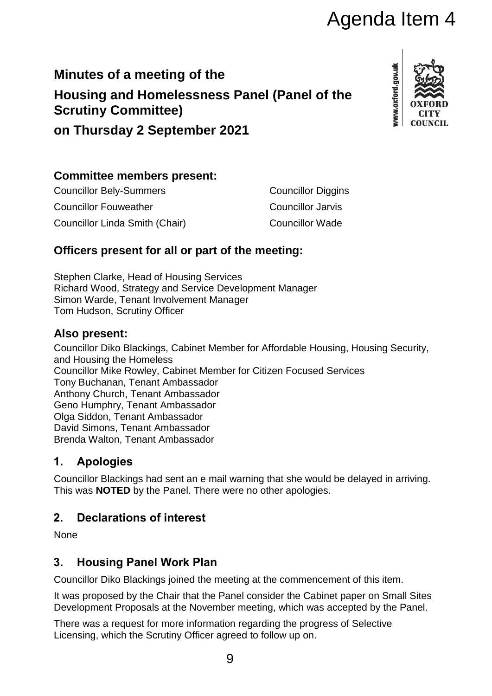# Agenda Item 4

## **Minutes of a meeting of the Housing and Homelessness Panel (Panel of the Scrutiny Committee)**



**on Thursday 2 September 2021**

#### **Committee members present:**

| <b>Councillor Bely-Summers</b> | <b>Councillor Diggins</b> |
|--------------------------------|---------------------------|
| <b>Councillor Fouweather</b>   | <b>Councillor Jarvis</b>  |
| Councillor Linda Smith (Chair) | <b>Councillor Wade</b>    |

### **Officers present for all or part of the meeting:**

Stephen Clarke, Head of Housing Services Richard Wood, Strategy and Service Development Manager Simon Warde, Tenant Involvement Manager Tom Hudson, Scrutiny Officer

#### **Also present:**

Councillor Diko Blackings, Cabinet Member for Affordable Housing, Housing Security, and Housing the Homeless Councillor Mike Rowley, Cabinet Member for Citizen Focused Services Tony Buchanan, Tenant Ambassador Anthony Church, Tenant Ambassador Geno Humphry, Tenant Ambassador Olga Siddon, Tenant Ambassador David Simons, Tenant Ambassador Brenda Walton, Tenant Ambassador

### **1. Apologies**

Councillor Blackings had sent an e mail warning that she would be delayed in arriving. This was **NOTED** by the Panel. There were no other apologies.

## **2. Declarations of interest**

None

### **3. Housing Panel Work Plan**

Councillor Diko Blackings joined the meeting at the commencement of this item.

It was proposed by the Chair that the Panel consider the Cabinet paper on Small Sites Development Proposals at the November meeting, which was accepted by the Panel.

There was a request for more information regarding the progress of Selective Licensing, which the Scrutiny Officer agreed to follow up on.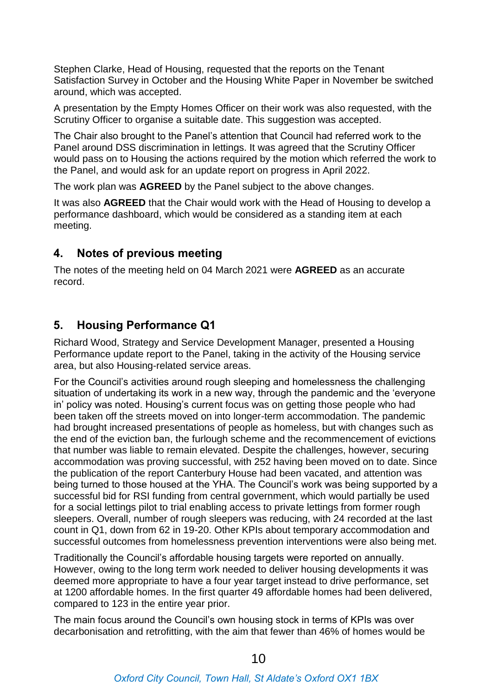Stephen Clarke, Head of Housing, requested that the reports on the Tenant Satisfaction Survey in October and the Housing White Paper in November be switched around, which was accepted.

A presentation by the Empty Homes Officer on their work was also requested, with the Scrutiny Officer to organise a suitable date. This suggestion was accepted.

The Chair also brought to the Panel's attention that Council had referred work to the Panel around DSS discrimination in lettings. It was agreed that the Scrutiny Officer would pass on to Housing the actions required by the motion which referred the work to the Panel, and would ask for an update report on progress in April 2022.

The work plan was **AGREED** by the Panel subject to the above changes.

It was also **AGREED** that the Chair would work with the Head of Housing to develop a performance dashboard, which would be considered as a standing item at each meeting.

#### **4. Notes of previous meeting**

The notes of the meeting held on 04 March 2021 were **AGREED** as an accurate record.

#### **5. Housing Performance Q1**

Richard Wood, Strategy and Service Development Manager, presented a Housing Performance update report to the Panel, taking in the activity of the Housing service area, but also Housing-related service areas.

For the Council's activities around rough sleeping and homelessness the challenging situation of undertaking its work in a new way, through the pandemic and the 'everyone in' policy was noted. Housing's current focus was on getting those people who had been taken off the streets moved on into longer-term accommodation. The pandemic had brought increased presentations of people as homeless, but with changes such as the end of the eviction ban, the furlough scheme and the recommencement of evictions that number was liable to remain elevated. Despite the challenges, however, securing accommodation was proving successful, with 252 having been moved on to date. Since the publication of the report Canterbury House had been vacated, and attention was being turned to those housed at the YHA. The Council's work was being supported by a successful bid for RSI funding from central government, which would partially be used for a social lettings pilot to trial enabling access to private lettings from former rough sleepers. Overall, number of rough sleepers was reducing, with 24 recorded at the last count in Q1, down from 62 in 19-20. Other KPIs about temporary accommodation and successful outcomes from homelessness prevention interventions were also being met.

Traditionally the Council's affordable housing targets were reported on annually. However, owing to the long term work needed to deliver housing developments it was deemed more appropriate to have a four year target instead to drive performance, set at 1200 affordable homes. In the first quarter 49 affordable homes had been delivered, compared to 123 in the entire year prior.

The main focus around the Council's own housing stock in terms of KPIs was over decarbonisation and retrofitting, with the aim that fewer than 46% of homes would be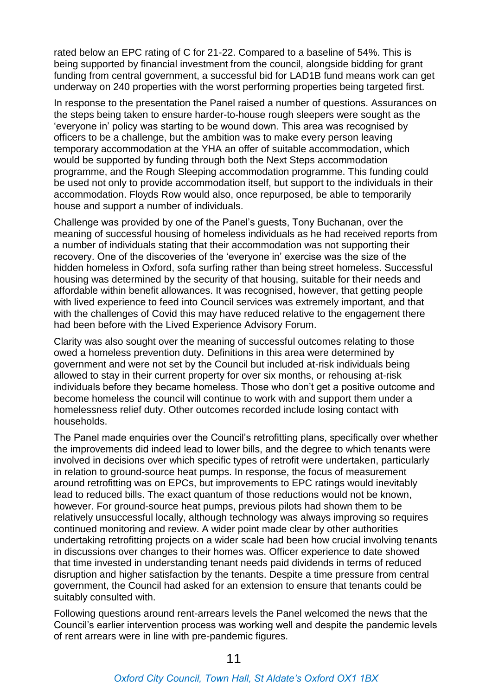rated below an EPC rating of C for 21-22. Compared to a baseline of 54%. This is being supported by financial investment from the council, alongside bidding for grant funding from central government, a successful bid for LAD1B fund means work can get underway on 240 properties with the worst performing properties being targeted first.

In response to the presentation the Panel raised a number of questions. Assurances on the steps being taken to ensure harder-to-house rough sleepers were sought as the 'everyone in' policy was starting to be wound down. This area was recognised by officers to be a challenge, but the ambition was to make every person leaving temporary accommodation at the YHA an offer of suitable accommodation, which would be supported by funding through both the Next Steps accommodation programme, and the Rough Sleeping accommodation programme. This funding could be used not only to provide accommodation itself, but support to the individuals in their accommodation. Floyds Row would also, once repurposed, be able to temporarily house and support a number of individuals.

Challenge was provided by one of the Panel's guests, Tony Buchanan, over the meaning of successful housing of homeless individuals as he had received reports from a number of individuals stating that their accommodation was not supporting their recovery. One of the discoveries of the 'everyone in' exercise was the size of the hidden homeless in Oxford, sofa surfing rather than being street homeless. Successful housing was determined by the security of that housing, suitable for their needs and affordable within benefit allowances. It was recognised, however, that getting people with lived experience to feed into Council services was extremely important, and that with the challenges of Covid this may have reduced relative to the engagement there had been before with the Lived Experience Advisory Forum.

Clarity was also sought over the meaning of successful outcomes relating to those owed a homeless prevention duty. Definitions in this area were determined by government and were not set by the Council but included at-risk individuals being allowed to stay in their current property for over six months, or rehousing at-risk individuals before they became homeless. Those who don't get a positive outcome and become homeless the council will continue to work with and support them under a homelessness relief duty. Other outcomes recorded include losing contact with households.

The Panel made enquiries over the Council's retrofitting plans, specifically over whether the improvements did indeed lead to lower bills, and the degree to which tenants were involved in decisions over which specific types of retrofit were undertaken, particularly in relation to ground-source heat pumps. In response, the focus of measurement around retrofitting was on EPCs, but improvements to EPC ratings would inevitably lead to reduced bills. The exact quantum of those reductions would not be known, however. For ground-source heat pumps, previous pilots had shown them to be relatively unsuccessful locally, although technology was always improving so requires continued monitoring and review. A wider point made clear by other authorities undertaking retrofitting projects on a wider scale had been how crucial involving tenants in discussions over changes to their homes was. Officer experience to date showed that time invested in understanding tenant needs paid dividends in terms of reduced disruption and higher satisfaction by the tenants. Despite a time pressure from central government, the Council had asked for an extension to ensure that tenants could be suitably consulted with.

Following questions around rent-arrears levels the Panel welcomed the news that the Council's earlier intervention process was working well and despite the pandemic levels of rent arrears were in line with pre-pandemic figures.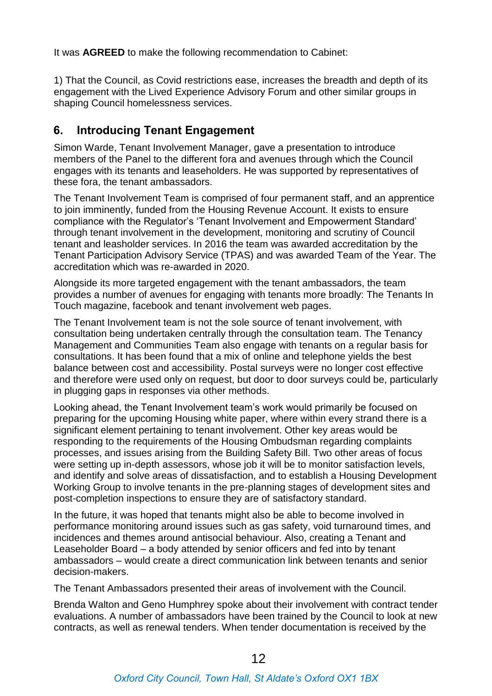It was **AGREED** to make the following recommendation to Cabinet:

1) That the Council, as Covid restrictions ease, increases the breadth and depth of its engagement with the Lived Experience Advisory Forum and other similar groups in shaping Council homelessness services.

#### **6. Introducing Tenant Engagement**

Simon Warde, Tenant Involvement Manager, gave a presentation to introduce members of the Panel to the different fora and avenues through which the Council engages with its tenants and leaseholders. He was supported by representatives of these fora, the tenant ambassadors.

The Tenant Involvement Team is comprised of four permanent staff, and an apprentice to join imminently, funded from the Housing Revenue Account. It exists to ensure compliance with the Regulator's 'Tenant Involvement and Empowerment Standard' through tenant involvement in the development, monitoring and scrutiny of Council tenant and leasholder services. In 2016 the team was awarded accreditation by the Tenant Participation Advisory Service (TPAS) and was awarded Team of the Year. The accreditation which was re-awarded in 2020.

Alongside its more targeted engagement with the tenant ambassadors, the team provides a number of avenues for engaging with tenants more broadly: The Tenants In Touch magazine, facebook and tenant involvement web pages.

The Tenant Involvement team is not the sole source of tenant involvement, with consultation being undertaken centrally through the consultation team. The Tenancy Management and Communities Team also engage with tenants on a regular basis for consultations. It has been found that a mix of online and telephone yields the best balance between cost and accessibility. Postal surveys were no longer cost effective and therefore were used only on request, but door to door surveys could be, particularly in plugging gaps in responses via other methods.

Looking ahead, the Tenant Involvement team's work would primarily be focused on preparing for the upcoming Housing white paper, where within every strand there is a significant element pertaining to tenant involvement. Other key areas would be responding to the requirements of the Housing Ombudsman regarding complaints processes, and issues arising from the Building Safety Bill. Two other areas of focus were setting up in-depth assessors, whose job it will be to monitor satisfaction levels, and identify and solve areas of dissatisfaction, and to establish a Housing Development Working Group to involve tenants in the pre-planning stages of development sites and post-completion inspections to ensure they are of satisfactory standard.

In the future, it was hoped that tenants might also be able to become involved in performance monitoring around issues such as gas safety, void turnaround times, and incidences and themes around antisocial behaviour. Also, creating a Tenant and Leaseholder Board – a body attended by senior officers and fed into by tenant ambassadors – would create a direct communication link between tenants and senior decision-makers.

The Tenant Ambassadors presented their areas of involvement with the Council.

Brenda Walton and Geno Humphrey spoke about their involvement with contract tender evaluations. A number of ambassadors have been trained by the Council to look at new contracts, as well as renewal tenders. When tender documentation is received by the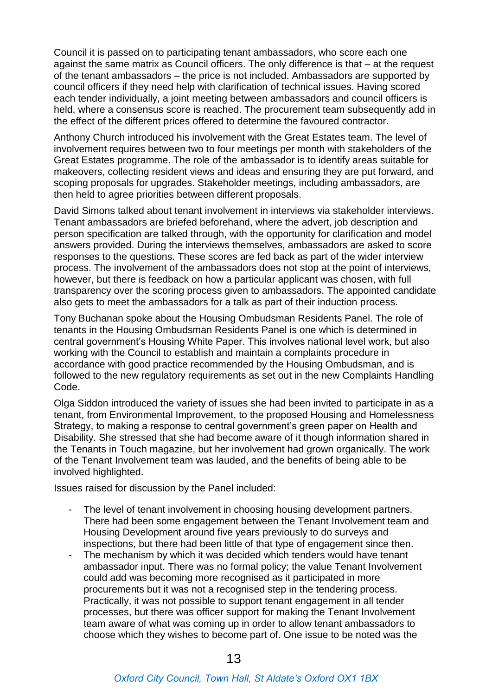Council it is passed on to participating tenant ambassadors, who score each one against the same matrix as Council officers. The only difference is that – at the request of the tenant ambassadors – the price is not included. Ambassadors are supported by council officers if they need help with clarification of technical issues. Having scored each tender individually, a joint meeting between ambassadors and council officers is held, where a consensus score is reached. The procurement team subsequently add in the effect of the different prices offered to determine the favoured contractor.

Anthony Church introduced his involvement with the Great Estates team. The level of involvement requires between two to four meetings per month with stakeholders of the Great Estates programme. The role of the ambassador is to identify areas suitable for makeovers, collecting resident views and ideas and ensuring they are put forward, and scoping proposals for upgrades. Stakeholder meetings, including ambassadors, are then held to agree priorities between different proposals.

David Simons talked about tenant involvement in interviews via stakeholder interviews. Tenant ambassadors are briefed beforehand, where the advert, job description and person specification are talked through, with the opportunity for clarification and model answers provided. During the interviews themselves, ambassadors are asked to score responses to the questions. These scores are fed back as part of the wider interview process. The involvement of the ambassadors does not stop at the point of interviews, however, but there is feedback on how a particular applicant was chosen, with full transparency over the scoring process given to ambassadors. The appointed candidate also gets to meet the ambassadors for a talk as part of their induction process.

Tony Buchanan spoke about the Housing Ombudsman Residents Panel. The role of tenants in the Housing Ombudsman Residents Panel is one which is determined in central government's Housing White Paper. This involves national level work, but also working with the Council to establish and maintain a complaints procedure in accordance with good practice recommended by the Housing Ombudsman, and is followed to the new regulatory requirements as set out in the new Complaints Handling Code.

Olga Siddon introduced the variety of issues she had been invited to participate in as a tenant, from Environmental Improvement, to the proposed Housing and Homelessness Strategy, to making a response to central government's green paper on Health and Disability. She stressed that she had become aware of it though information shared in the Tenants in Touch magazine, but her involvement had grown organically. The work of the Tenant Involvement team was lauded, and the benefits of being able to be involved highlighted.

Issues raised for discussion by the Panel included:

- The level of tenant involvement in choosing housing development partners. There had been some engagement between the Tenant Involvement team and Housing Development around five years previously to do surveys and inspections, but there had been little of that type of engagement since then.
- The mechanism by which it was decided which tenders would have tenant ambassador input. There was no formal policy; the value Tenant Involvement could add was becoming more recognised as it participated in more procurements but it was not a recognised step in the tendering process. Practically, it was not possible to support tenant engagement in all tender processes, but there was officer support for making the Tenant Involvement team aware of what was coming up in order to allow tenant ambassadors to choose which they wishes to become part of. One issue to be noted was the